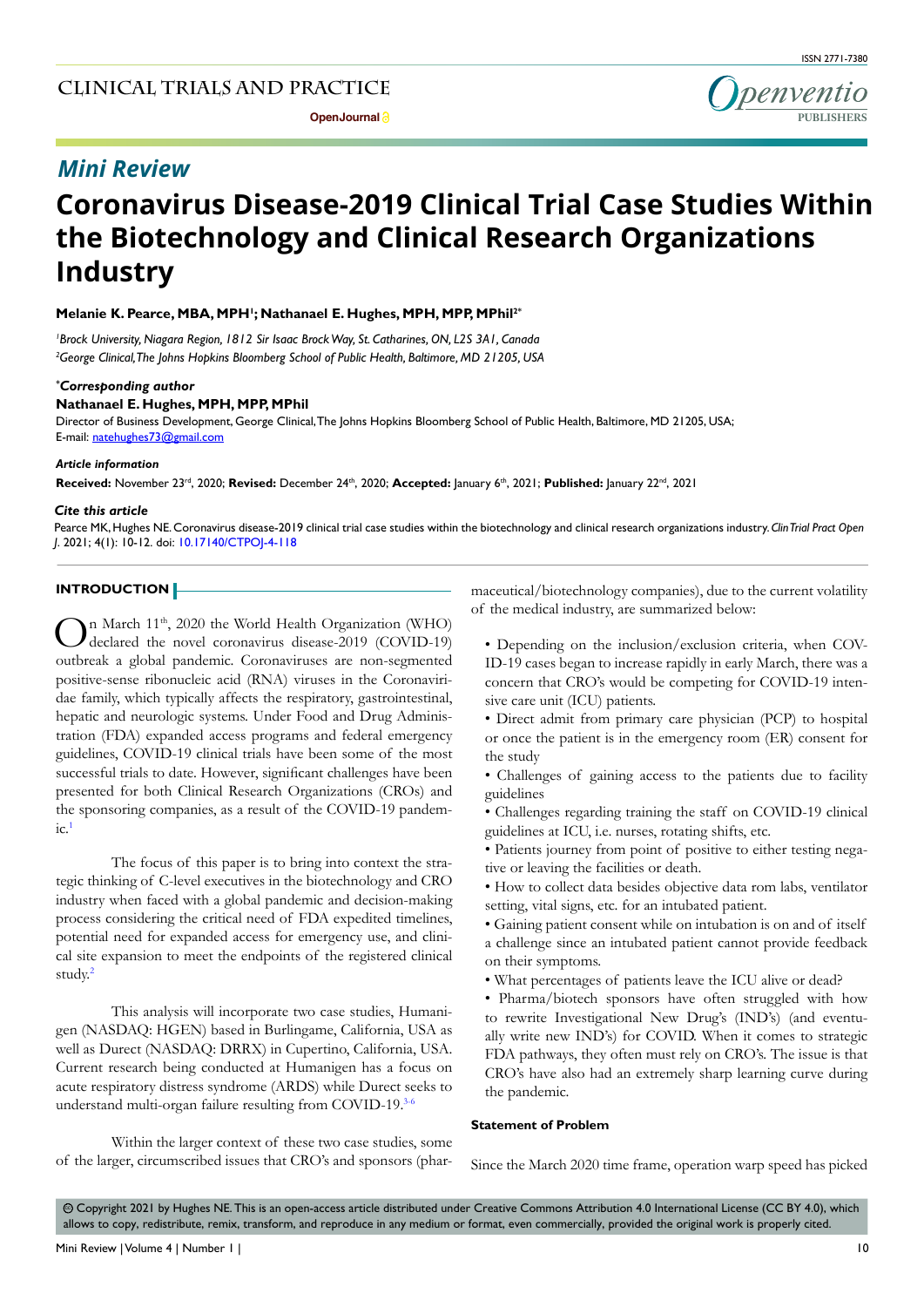

# *Mini Review*

# **Coronavirus Disease-2019 Clinical Trial Case Studies Within the Biotechnology and Clinical Research Organizations Industry**

**Melanie K. Pearce, MBA, MPH1 ; Nathanael E. Hughes, MPH, MPP, MPhil2\***

*1 Brock University, Niagara Region, 1812 Sir Isaac Brock Way, St. Catharines, ON, L2S 3A1, Canada 2 George Clinical, The Johns Hopkins Bloomberg School of Public Health, Baltimore, MD 21205, USA*

# *\* Corresponding author*

# **Nathanael E. Hughes, MPH, MPP, MPhil**

Director of Business Development, George Clinical, The Johns Hopkins Bloomberg School of Public Health, Baltimore, MD 21205, USA; E-mail: natehughes73@gmail.com

# *Article information*

**Received:** November 23rd, 2020; **Revised:** December 24th, 2020; **Accepted:** January 6th, 2021; **Published:** January 22nd, 2021

#### *Cite this article*

Pearce MK, Hughes NE. Coronavirus disease-2019 clinical trial case studies within the biotechnology and clinical research organizations industry. *Clin Trial Pract Open J*. 2021; 4(1): 10-12. doi: [10.17140/CTPOJ-4-118](http://dx.doi.org/10.17140/CTPOJ-4-118)

## **INTRODUCTION**

In March 11<sup>th</sup>, 2020 the World Health Organization (WHO) declared the novel coronavirus disease-2019 (COVID-19) outbreak a global pandemic. Coronaviruses are non-segmented positive-sense ribonucleic acid (RNA) viruses in the Coronaviridae family, which typically affects the respiratory, gastrointestinal, hepatic and neurologic systems. Under Food and Drug Administration (FDA) expanded access programs and federal emergency guidelines, COVID-19 clinical trials have been some of the most successful trials to date. However, significant challenges have been presented for both Clinical Research Organizations (CROs) and the sponsoring companies, as a result of the COVID-19 pandem- $\mathsf{ic}$ .

The focus of this paper is to bring into context the strategic thinking of C-level executives in the biotechnology and CRO industry when faced with a global pandemic and decision-making process considering the critical need of FDA expedited timelines, potential need for expanded access for emergency use, and clinical site expansion to meet the endpoints of the registered clinical study.[2](#page-2-1)

This analysis will incorporate two case studies, Humanigen (NASDAQ: HGEN) based in Burlingame, California, USA as well as Durect (NASDAQ: DRRX) in Cupertino, California, USA. Current research being conducted at Humanigen has a focus on acute respiratory distress syndrome (ARDS) while Durect seeks to understand multi-organ failure resulting from COVID-19.<sup>3-6</sup>

Within the larger context of these two case studies, some of the larger, circumscribed issues that CRO's and sponsors (pharmaceutical/biotechnology companies), due to the current volatility of the medical industry, are summarized below:

- Depending on the inclusion/exclusion criteria, when COV-ID-19 cases began to increase rapidly in early March, there was a concern that CRO's would be competing for COVID-19 intensive care unit (ICU) patients.
- Direct admit from primary care physician (PCP) to hospital or once the patient is in the emergency room (ER) consent for the study
- Challenges of gaining access to the patients due to facility guidelines
- Challenges regarding training the staff on COVID-19 clinical guidelines at ICU, i.e. nurses, rotating shifts, etc.
- Patients journey from point of positive to either testing negative or leaving the facilities or death.
- How to collect data besides objective data rom labs, ventilator setting, vital signs, etc. for an intubated patient.
- Gaining patient consent while on intubation is on and of itself a challenge since an intubated patient cannot provide feedback on their symptoms.
- What percentages of patients leave the ICU alive or dead?
- Pharma/biotech sponsors have often struggled with how to rewrite Investigational New Drug's (IND's) (and eventually write new IND's) for COVID. When it comes to strategic FDA pathways, they often must rely on CRO's. The issue is that CRO's have also had an extremely sharp learning curve during the pandemic.

#### **Statement of Problem**

Since the March 2020 time frame, operation warp speed has picked

 $\circledcirc$  Copyright 2021 by Hughes NE. This is an open-access article distributed under Creative Commons Attribution 4.0 International License (CC BY 4.0), which allows to copy, redistribute, remix, transform, and reproduce in any medium or format, even commercially, provided the original work is properly cited.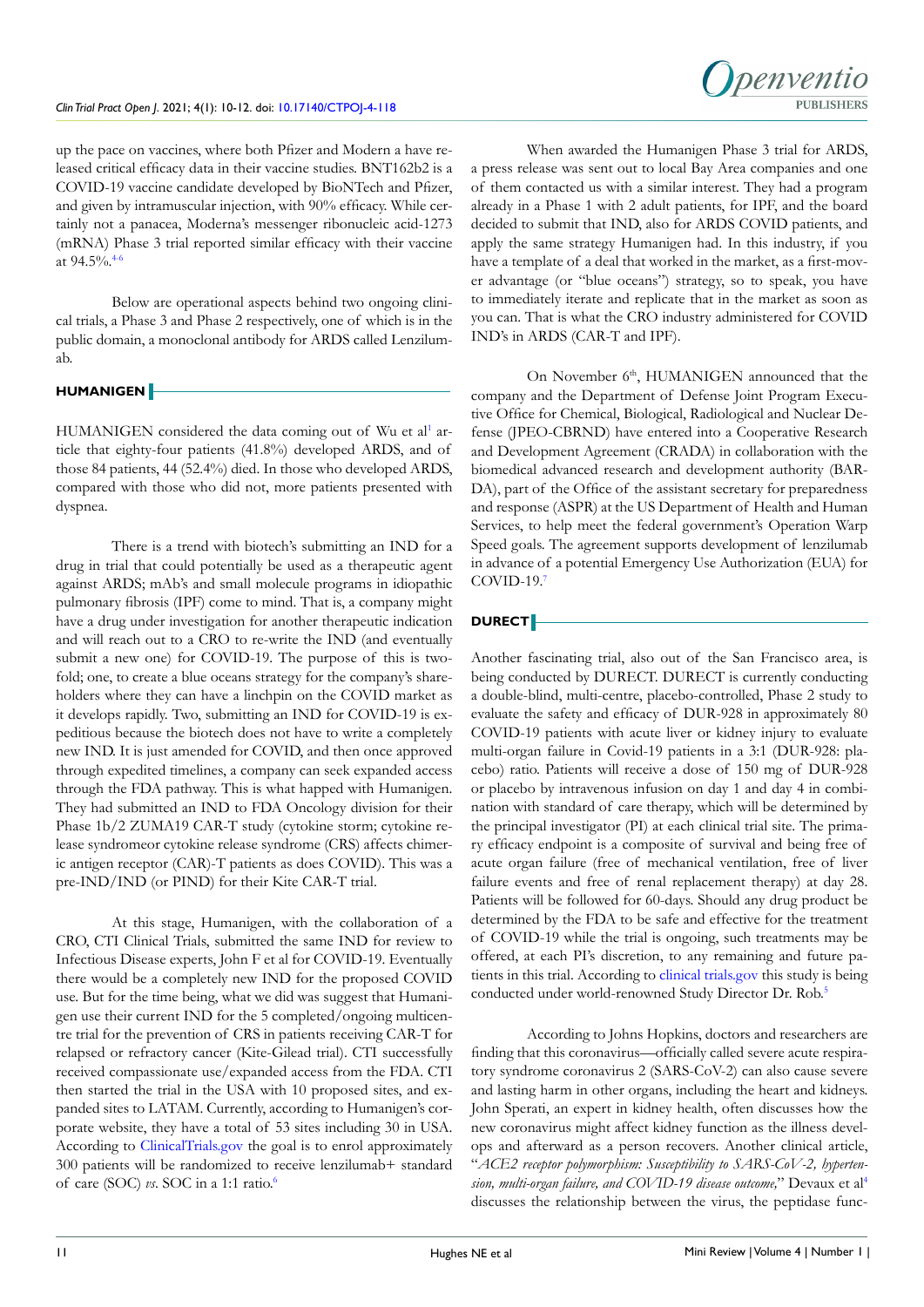up the pace on vaccines, where both Pfizer and Modern a have released critical efficacy data in their vaccine studies. BNT162b2 is a COVID-19 vaccine candidate developed by BioNTech and Pfizer, and given by intramuscular injection, with 90% efficacy. While certainly not a panacea, Moderna's messenger ribonucleic acid-1273 (mRNA) Phase 3 trial reported similar efficacy with their vaccine at 94.5%.<sup>4-6</sup>

Below are operational aspects behind two ongoing clinical trials, a Phase 3 and Phase 2 respectively, one of which is in the public domain, a monoclonal antibody for ARDS called Lenzilumab.

# **HUMANIGEN**

HUMANIGEN considered the data coming out of Wu et al<sup>1</sup> article that eighty-four patients (41.8%) developed ARDS, and of those 84 patients, 44 (52.4%) died. In those who developed ARDS, compared with those who did not, more patients presented with dyspnea.

There is a trend with biotech's submitting an IND for a drug in trial that could potentially be used as a therapeutic agent against ARDS; mAb's and small molecule programs in idiopathic pulmonary fibrosis (IPF) come to mind. That is, a company might have a drug under investigation for another therapeutic indication and will reach out to a CRO to re-write the IND (and eventually submit a new one) for COVID-19. The purpose of this is twofold; one, to create a blue oceans strategy for the company's shareholders where they can have a linchpin on the COVID market as it develops rapidly. Two, submitting an IND for COVID-19 is expeditious because the biotech does not have to write a completely new IND. It is just amended for COVID, and then once approved through expedited timelines, a company can seek expanded access through the FDA pathway. This is what happed with Humanigen. They had submitted an IND to FDA Oncology division for their Phase 1b/2 ZUMA19 CAR-T study (cytokine storm; cytokine release syndromeor cytokine release syndrome (CRS) affects chimeric antigen receptor (CAR)-T patients as does COVID). This was a pre-IND/IND (or PIND) for their Kite CAR-T trial.

At this stage, Humanigen, with the collaboration of a CRO, CTI Clinical Trials, submitted the same IND for review to Infectious Disease experts, John F et al for COVID-19. Eventually there would be a completely new IND for the proposed COVID use. But for the time being, what we did was suggest that Humanigen use their current IND for the 5 completed/ongoing multicentre trial for the prevention of CRS in patients receiving CAR-T for relapsed or refractory cancer (Kite-Gilead trial). CTI successfully received compassionate use/expanded access from the FDA. CTI then started the trial in the USA with 10 proposed sites, and expanded sites to LATAM. Currently, according to Humanigen's corporate website, they have a total of 53 sites including 30 in USA. According to <ClinicalTrials.gov>the goal is to enrol approximately 300 patients will be randomized to receive lenzilumab+ standard of care (SOC) *vs*. SOC in a 1:1 ratio[.6](#page-2-4)

When awarded the Humanigen Phase 3 trial for ARDS, a press release was sent out to local Bay Area companies and one of them contacted us with a similar interest. They had a program already in a Phase 1 with 2 adult patients, for IPF, and the board decided to submit that IND, also for ARDS COVID patients, and apply the same strategy Humanigen had. In this industry, if you have a template of a deal that worked in the market, as a first-mover advantage (or "blue oceans") strategy, so to speak, you have to immediately iterate and replicate that in the market as soon as you can. That is what the CRO industry administered for COVID IND's in ARDS (CAR-T and IPF).

On November 6<sup>th</sup>, HUMANIGEN announced that the company and the Department of Defense Joint Program Executive Office for Chemical, Biological, Radiological and Nuclear Defense (JPEO-CBRND) have entered into a Cooperative Research and Development Agreement (CRADA) in collaboration with the biomedical advanced research and development authority (BAR-DA), part of the Office of the assistant secretary for preparedness and response (ASPR) at the US Department of Health and Human Services, to help meet the federal government's Operation Warp Speed goals. The agreement supports development of lenzilumab in advance of a potential Emergency Use Authorization (EUA) for COVID-19.[7](#page-2-5)

# **DURECT**

Another fascinating trial, also out of the San Francisco area, is being conducted by DURECT. DURECT is currently conducting a double-blind, multi-centre, placebo-controlled, Phase 2 study to evaluate the safety and efficacy of DUR-928 in approximately 80 COVID-19 patients with acute liver or kidney injury to evaluate multi-organ failure in Covid-19 patients in a 3:1 (DUR-928: placebo) ratio. Patients will receive a dose of 150 mg of DUR-928 or placebo by intravenous infusion on day 1 and day 4 in combination with standard of care therapy, which will be determined by the principal investigator (PI) at each clinical trial site. The primary efficacy endpoint is a composite of survival and being free of acute organ failure (free of mechanical ventilation, free of liver failure events and free of renal replacement therapy) at day 28. Patients will be followed for 60-days. Should any drug product be determined by the FDA to be safe and effective for the treatment of COVID-19 while the trial is ongoing, such treatments may be offered, at each PI's discretion, to any remaining and future patients in this trial. According to [clinical trials.gov](clinical%20trials.gov) this study is being conducted under world-renowned Study Director Dr. Rob[.5](#page-2-6)

According to Johns Hopkins, doctors and researchers are finding that this coronavirus—officially called severe acute respiratory syndrome coronavirus 2 (SARS-CoV-2) can also cause severe and lasting harm in other organs, including the heart and kidneys. John Sperati, an expert in kidney health, often discusses how the new coronavirus might affect kidney function as the illness develops and afterward as a person recovers. Another clinical article, "*ACE2 receptor polymorphism: Susceptibility to SARS-CoV-2, hypertension, multi-organ failure, and COVID-19 disease outcome,*" Devaux et al[4](#page-2-3) discusses the relationship between the virus, the peptidase func-